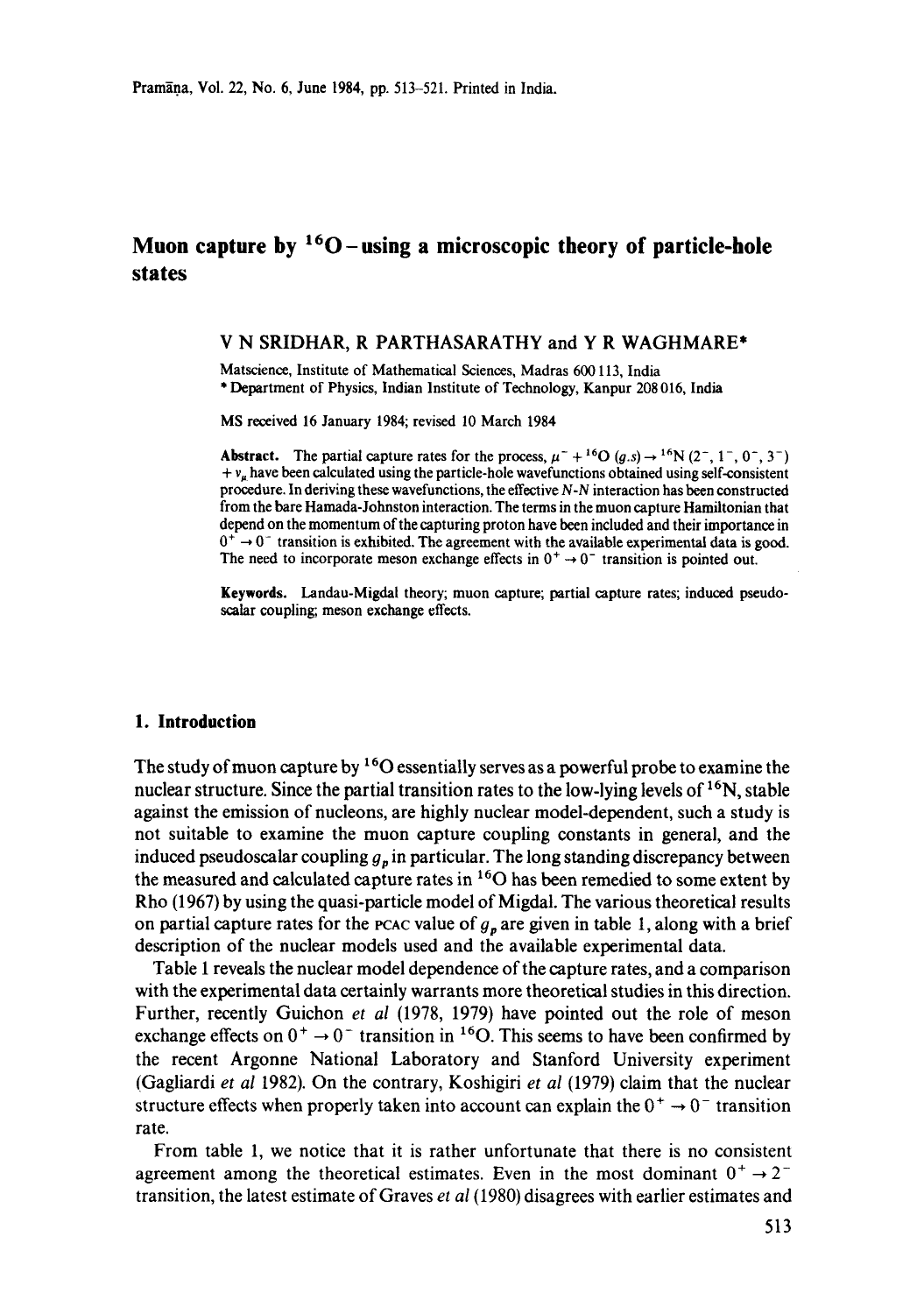# **Muon capture by**  ${}^{16}O$  **– using a microscopic theory of particle-hole states**

# V N SRIDHAR, R PARTHASARATHY and Y R WAGHMARE\*

Matscience, Institute of Mathematical Sciences, Madras 600 113, India \* Department of Physics, Indian Institute of Technology, Kanpur 208 016, India

MS received 16 January 1984; revised 10 March 1984

**Abstract.** The partial capture rates for the process,  $\mu^+ + {}^{16}O(g.s) \rightarrow {}^{16}N (2^-, 1^-, 0^-, 3^-)$  $+ v_{\mu}$  have been calculated using the particle-hole wavefunctions obtained using self-consistent procedure. In deriving these wavefunctions, the effective *N-N* interaction has been constructed from the bare Hamada-Johnston interaction. The terms in the muon capture Hamiltonian that depend on the momentum of the capturing proton have been included and their importance in  $0^+ \rightarrow 0^-$  transition is exhibited. The agreement with the available experimental data is good. The need to incorporate meson exchange effects in  $0^+ \rightarrow 0^-$  transition is pointed out.

**Keywords.** Landau-Migdal theory; muon capture; partial capture rates; induced pseudoscalar coupling; meson exchange effects.

### **1. Introduction**

The study of muon capture by  $160$  essentially serves as a powerful probe to examine the nuclear structure. Since the partial transition rates to the low-lying levels of  $^{16}N$ , stable against the emission of nucleons, are highly nuclear model-dependent, such a study is not suitable to examine the muon capture coupling constants in general, and the induced pseudoscalar coupling  $g_n$  in particular. The long standing discrepancy between the measured and calculated capture rates in 160 has been remedied to some extent by Rho (1967) by using the quasi-particle model of Migdal. The various theoretical results on partial capture rates for the pcac value of  $g_p$  are given in table 1, along with a brief description of the nuclear models used and the available experimental data.

Table 1 reveals the nuclear model dependence of the capture rates, and a comparison with the experimental data certainly warrants more theoretical studies in this direction. Further, recently Guichon *et al* (1978, 1979) have pointed out the role of meson exchange effects on  $0^+ \rightarrow 0^-$  transition in <sup>16</sup>O. This seems to have been confirmed by the recent Argonne National Laboratory and Stanford University experiment (Gagliardi *et al* 1982). On the contrary, Koshigiri *et al* (1979) claim that the nuclear structure effects when properly taken into account can explain the  $0^+ \rightarrow 0^-$  transition rate.

From table 1, we notice that it is rather unfortunate that there is no consistent agreement among the theoretical estimates. Even in the most dominant  $0^+ \rightarrow 2^$ transition, the latest estimate of Graves *et al (1980)* disagrees with earlier estimates and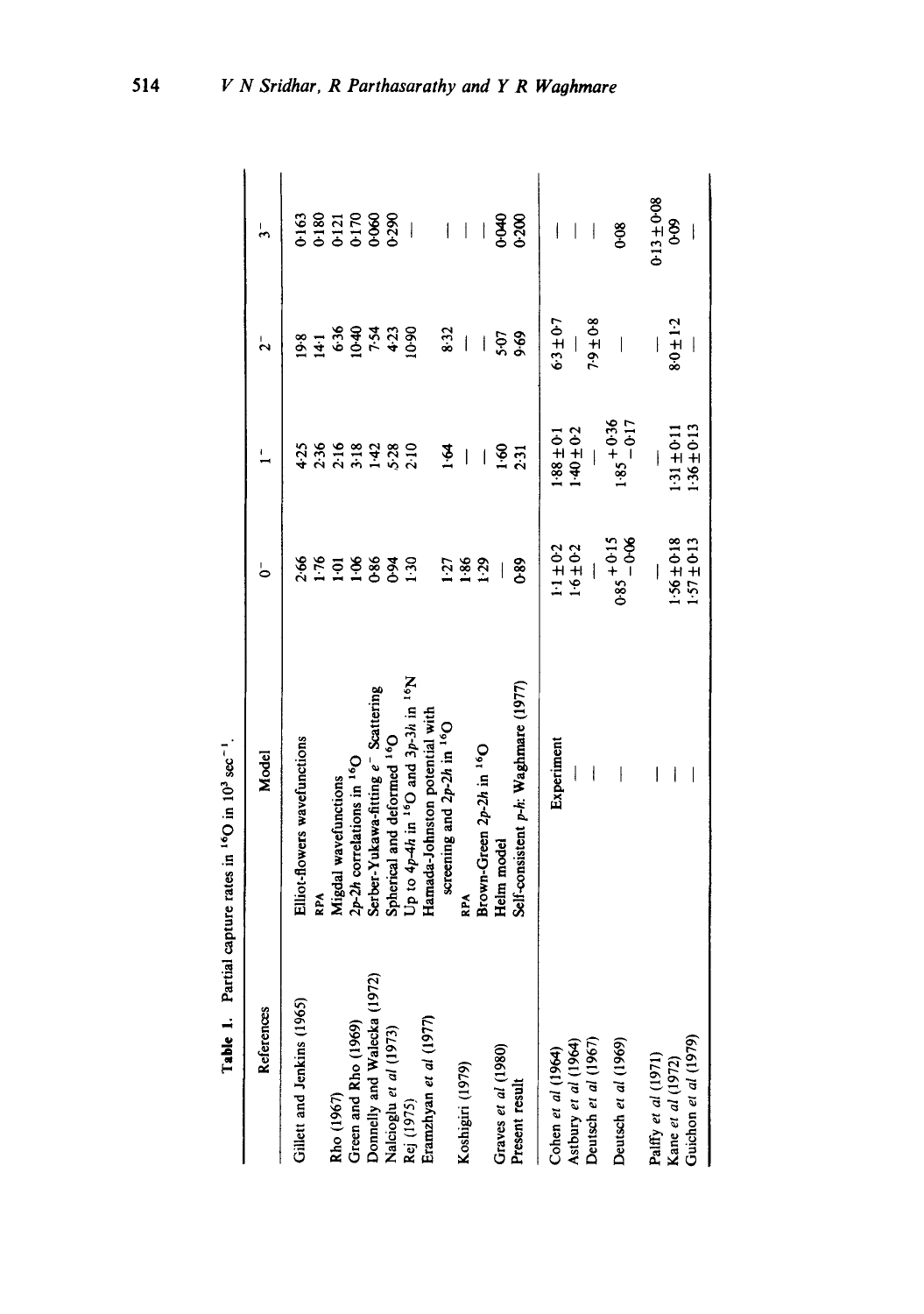|                                              | Table 1. Partial capture rates in <sup>16</sup> O in 10 <sup>3</sup> sec <sup>-1</sup> |                          |                          |                              |                          |
|----------------------------------------------|----------------------------------------------------------------------------------------|--------------------------|--------------------------|------------------------------|--------------------------|
| References                                   | <b>Model</b>                                                                           | ခ                        | Ļ                        | ٦,                           | $\frac{1}{2}$            |
| Gillett and Jenkins (1965)                   | Elliot-flowers wavefunctions                                                           | 2.66                     | 4.25                     | 9.8                          | 0.163                    |
|                                              | RPA                                                                                    | 1.76                     | 2.36                     |                              |                          |
| Rho (1967)                                   | Migdal wavefunctions                                                                   | $\overline{10}$          |                          |                              |                          |
| Green and Rho (1969)                         | $2p-2h$ correlations in $16O$                                                          | $^{1.06}$                |                          |                              |                          |
| Donnelly and Walecka (1972)                  | Serber-Yukawa-fitting e <sup>-</sup> Scattering                                        | 0.86                     | 16<br>23332<br>233       | $4.569$<br>$6.369$<br>$7.33$ | 0180<br>012170<br>000000 |
| Nalcioglu et al (1973)                       | Spherical and deformed <sup>16</sup> O                                                 | $6-0$                    |                          |                              |                          |
| Rej (1975)                                   | Up to $4p-4h$ in $16Q$ and $3p-3h$ in $16N$                                            | $\frac{30}{2}$           |                          | 10.90                        | $\overline{\phantom{a}}$ |
| Eramzhyan et al (1977)                       | Hamada-Johnston potential with                                                         |                          |                          |                              |                          |
|                                              | screening and $2p-2h$ in $16O$                                                         | 1:27                     | $\tilde{\mathbf{z}}$     | 8:32                         | I                        |
| Koshigiri (1979)                             | <b>RPA</b>                                                                             | 1.86                     | I                        | $\overline{1}$               | $\overline{\phantom{a}}$ |
|                                              | Brown-Green 2p-2h in <sup>16</sup> O                                                   | 1.29                     | I                        | İ                            |                          |
| Graves et al (1980)                          | Helm model                                                                             |                          | 1.60                     | 5.07                         | 0-040                    |
| Present result                               | Self-consistent p-h: Waghmare (1977)                                                   | <b>089</b>               | 2:31                     | $8-69$                       | 0.200                    |
| Cohen et al (1964)                           | Experiment                                                                             | $1.1 \pm 0.2$            | $1.0 + 88.1$             | $63 \pm 0.7$                 | ļ                        |
|                                              |                                                                                        | $1.6 \pm 0.2$            | $-40 \pm 0.2$            |                              | $\overline{\phantom{a}}$ |
| Astbury et al (1964)<br>Deutsch et al (1967) | $\overline{\phantom{a}}$                                                               |                          |                          | $7.9 \pm 0.8$                |                          |
| Deutsch et al (1969)                         | $\mid$                                                                                 | $0.85 + 0.15$<br>$-0.06$ | $1.85 + 0.36$<br>$-0.17$ |                              | $0 - 0$                  |
| Palffy et al (1971)<br>Kane et al (1972)     | I                                                                                      | I                        |                          |                              | $0.13 \pm 0.08$          |
|                                              | I                                                                                      | $1.56 \pm 0.18$          | $1.31 \pm 0.11$          | $8.0 \pm 1.2$                | Ş<br>6                   |
| Guichon et al (1979)                         |                                                                                        | $1.57 \pm 0.13$          | $1.36 \pm 0.13$          |                              | $\overline{\phantom{a}}$ |

514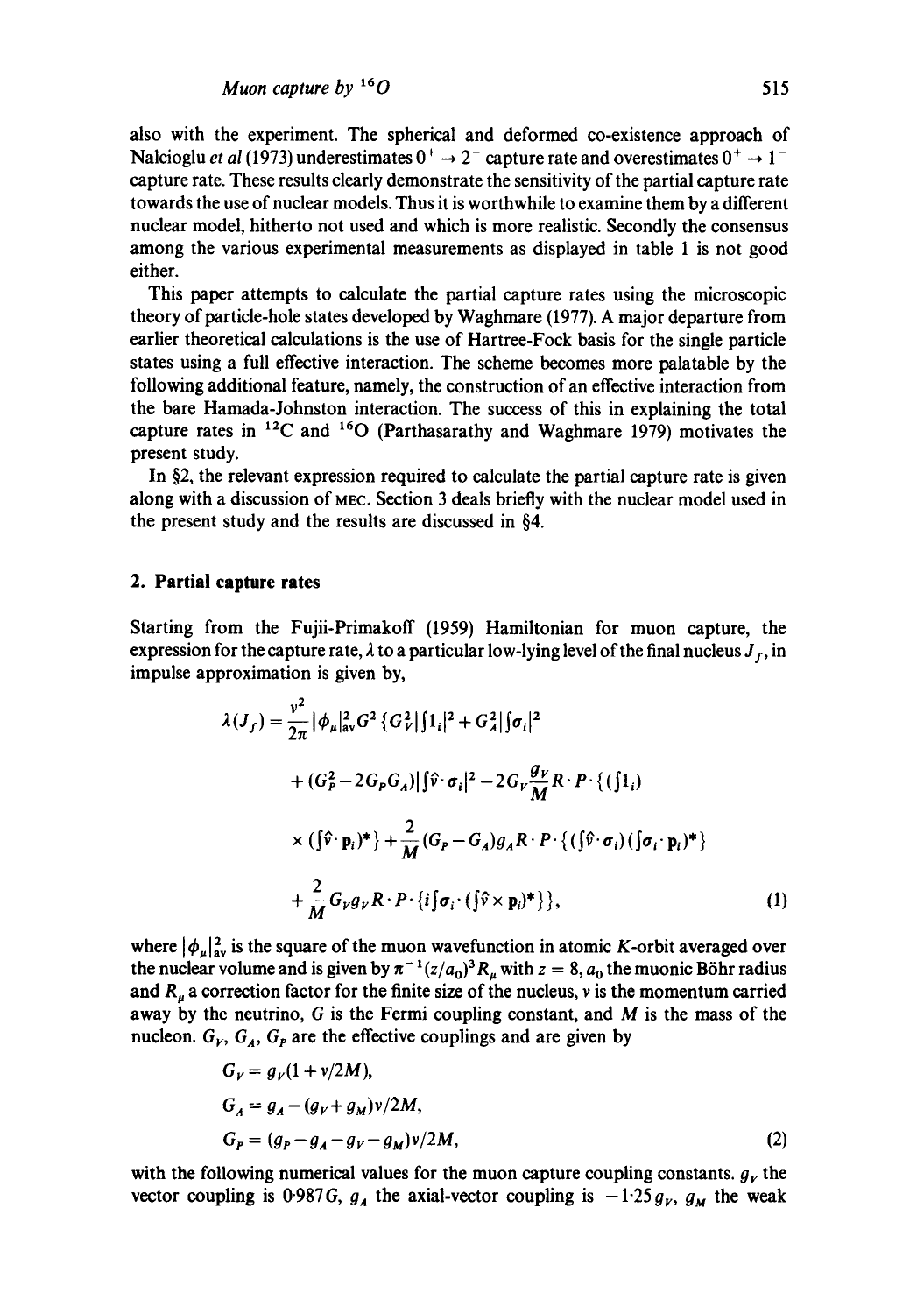also with the experiment. The spherical and deformed co-existence approach of Nalcioglu *et al* (1973) underestimates  $0^+ \rightarrow 2^-$  capture rate and overestimates  $0^+ \rightarrow 1^$ capture rate. These results clearly demonstrate the sensitivity of the partial capture rate towards the use of nuclear models. Thus it is worthwhile to examine them by a different nuclear model, hitherto not used and which is more realistic. Secondly the consensus among the various experimental measurements as displayed in table 1 is not good either.

This paper attempts to calculate the partial capture rates using the microscopic theory of particle-hole states developed by Waghmare (1977). A major departure from earlier theoretical calculations is the use of Hartree-Fock basis for the single particle states using a full effective interaction. The scheme becomes more palatable by the following additional feature, namely, the construction of an effective interaction from the bare Hamada-Johnston interaction. The success of this in explaining the total capture rates in  $^{12}$ C and  $^{16}$ O (Parthasarathy and Waghmare 1979) motivates the present study.

In §2, the relevant expression required to calculate the partial capture rate is given along with a discussion of MEC. Section 3 deals briefly with the nuclear model used in the present study and the results are discussed in §4.

# **2. Partial capture rates**

Starting from the Fujii-Primakoff (1959) Hamiltonian for muon capture, the expression for the capture rate,  $\lambda$  to a particular low-lying level of the final nucleus  $J_f$ , in impulse approximation is given by,

$$
\lambda(J_f) = \frac{v^2}{2\pi} |\phi_\mu|_{av}^2 G^2 \left\{ G_\nu^2 |\int 1_i|^2 + G_A^2 |\int \sigma_i|^2 \right.\n+ (G_P^2 - 2G_P G_A) |\int \hat{v} \cdot \sigma_i|^2 - 2G_V \frac{g_V}{M} R \cdot P \cdot \left\{ (\int 1_i) \right.\n\times (\int \hat{v} \cdot \mathbf{p}_i)^* \right\} + \frac{2}{M} (G_P - G_A) g_A R \cdot P \cdot \left\{ (\int \hat{v} \cdot \sigma_i) (\int \sigma_i \cdot \mathbf{p}_i)^* \right\}\n+ \frac{2}{M} G_V g_V R \cdot P \cdot \left\{ i \int \sigma_i \cdot (\int \hat{v} \times \mathbf{p}_i)^* \right\},
$$
\n(1)

where  $|\phi_\mu|^2_{av}$  is the square of the muon wavefunction in atomic K-orbit averaged over the nuclear volume and is given by  $\pi^{-1} (z/a_0)^3 R_\mu$  with  $z = 8$ ,  $a_0$  the muonic Böhr radius and  $R_{\mu}$  a correction factor for the finite size of the nucleus, v is the momentum carried away by the neutrino,  $G$  is the Fermi coupling constant, and  $M$  is the mass of the nucleon.  $G_V$ ,  $G_A$ ,  $G_P$  are the effective couplings and are given by

$$
G_V = g_V(1 + v/2M),
$$
  
\n
$$
G_A = g_A - (g_V + g_M)v/2M,
$$
  
\n
$$
G_P = (g_P - g_A - g_V - g_M)v/2M,
$$
\n(2)

with the following numerical values for the muon capture coupling constants,  $g<sub>r</sub>$  the vector coupling is 0.987G,  $g_A$  the axial-vector coupling is  $-1.25g_V$ ,  $g_M$  the weak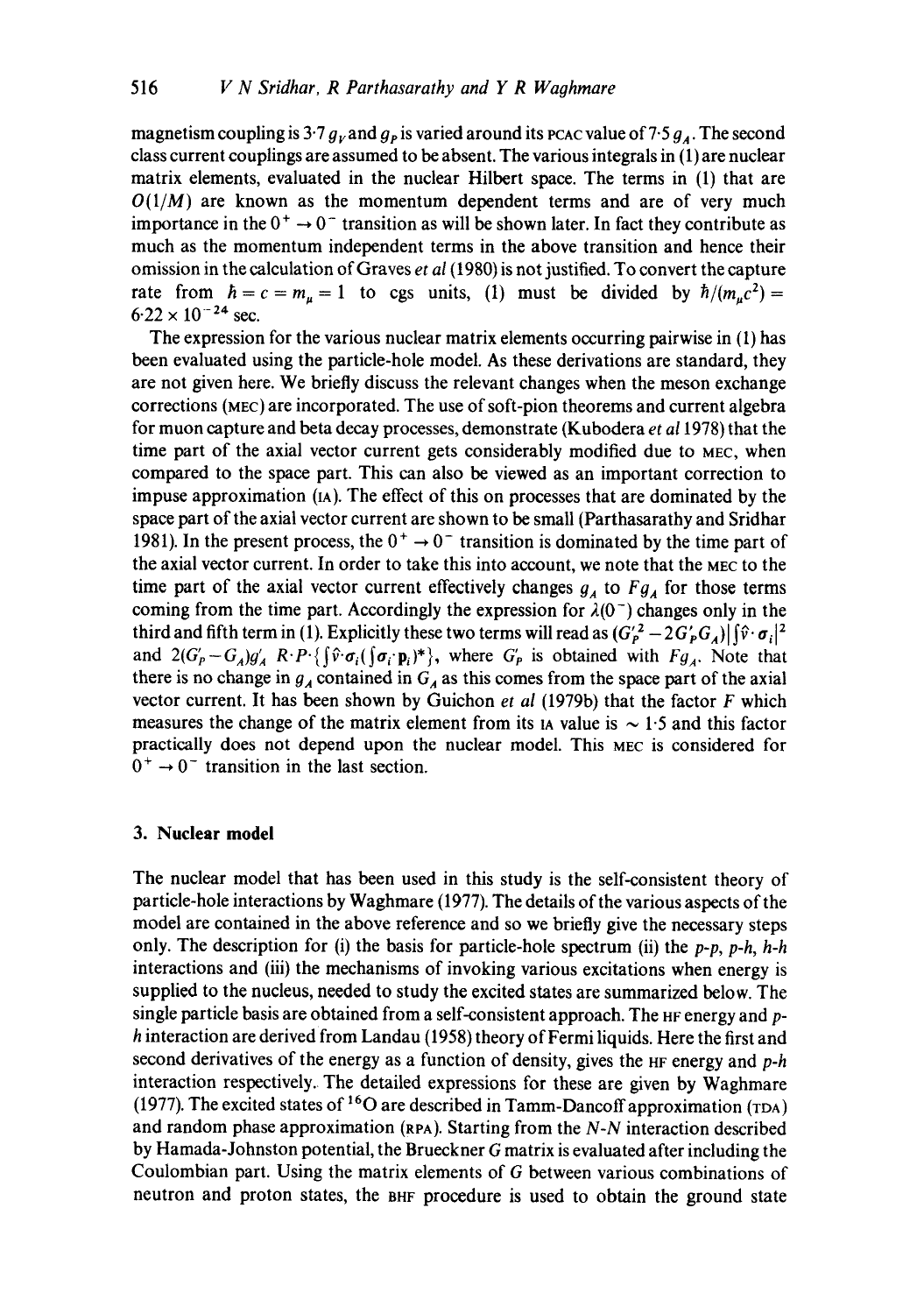magnetism coupling is 3.7  $g_v$  and  $g_p$  is varied around its PCAC value of 7.5  $g_A$ . The second class current couplings are assumed to be absent. The various integrals in (1) are nuclear matrix elements, evaluated in the nuclear Hilbert space. The terms in (1) that are  $O(1/M)$  are known as the momentum dependent terms and are of very much importance in the  $0^+ \rightarrow 0^-$  transition as will be shown later. In fact they contribute as much as the momentum independent terms in the above transition and hence their omission in the calculation of Graves *et al (t980)* is not justified. To convert the capture rate from  $\hbar = c = m_u = 1$  to cgs units, (1) must be divided by  $\hbar/(m_u c^2)$  $6.22 \times 10^{-24}$  sec.

The expression for the various nuclear matrix elements occurring pairwise in (1) has been evaluated using the particle-hole model. As these derivations are standard, they are not given here. We briefly discuss the relevant changes when the meson exchange corrections (MEC) are incorporated. The use of soft-pion theorems and current algebra for muon capture and beta decay processes, demonstrate (Kubodera *et a11978)* that the time part of the axial vector current gets considerably modified due to MEC, when compared to the space part. This can also be viewed as an important correction to impuse approximation (IA). The effect of this on processes that are dominated by the space part of the axial vector current are shown to be small (Parthasarathy and Sridhar 1981). In the present process, the  $0^+ \rightarrow 0^-$  transition is dominated by the time part of the axial vector current. In order to take this into account, we note that the MEC to the time part of the axial vector current effectively changes  $g_A$  to  $Fg_A$  for those terms coming from the time part. Accordingly the expression for  $\lambda(0^-)$  changes only in the third and fifth term in (1). Explicitly these two terms will read as  $(G_P^2 - 2G_P^2 G_A) |\hat{v} \cdot \sigma_i|^2$ and  $2(G_P - G_A)g'_A$   $R \cdot P \cdot \{\hat{y} \cdot \sigma_i(\sigma_i \cdot \mathbf{p}_i)^*\}$ , where  $G_P$  is obtained with  $Fg_A$ . Note that there is no change in  $g_A$  contained in  $G_A$  as this comes from the space part of the axial vector current. It has been shown by Guichon *et al* (1979b) that the factor F which measures the change of the matrix element from its 1A value is  $\sim$  1.5 and this factor practically does not depend upon the nuclear model. This MEC is considered for  $0^+ \rightarrow 0^-$  transition in the last section.

# **3. Nuclear model**

The nuclear model that has been used in this study is the self-consistent theory of particle-hole interactions by Waghmare (1977). The details of the various aspects of the model are contained in the above reference and so we briefly give the necessary steps only. The description for (i) the basis for particle-hole spectrum (ii) the *p-p, p-h, h-h*  interactions and (iii) the mechanisms of invoking various excitations when energy is supplied to the nucleus, needed to study the excited states are summarized below. The single particle basis are obtained from a self-consistent approach. The HF energy and ph interaction are derived from Landau (1958) theory of Fermi liquids. Here the first and second derivatives of the energy as a function of density, gives the HF energy and *p-h*  interaction respectively. The detailed expressions for these are given by Waghmare (1977). The excited states of  $^{16}O$  are described in Tamm-Dancoff approximation (TDA) and random phase approximation (RPA). Starting from the *N-N* interaction described by Hamada-Johnston potential, the Brueckner G matrix is evaluated after including the Coulombian part. Using the matrix elements of G between various combinations of neutron and proton states, the BHF procedure is used to obtain the ground state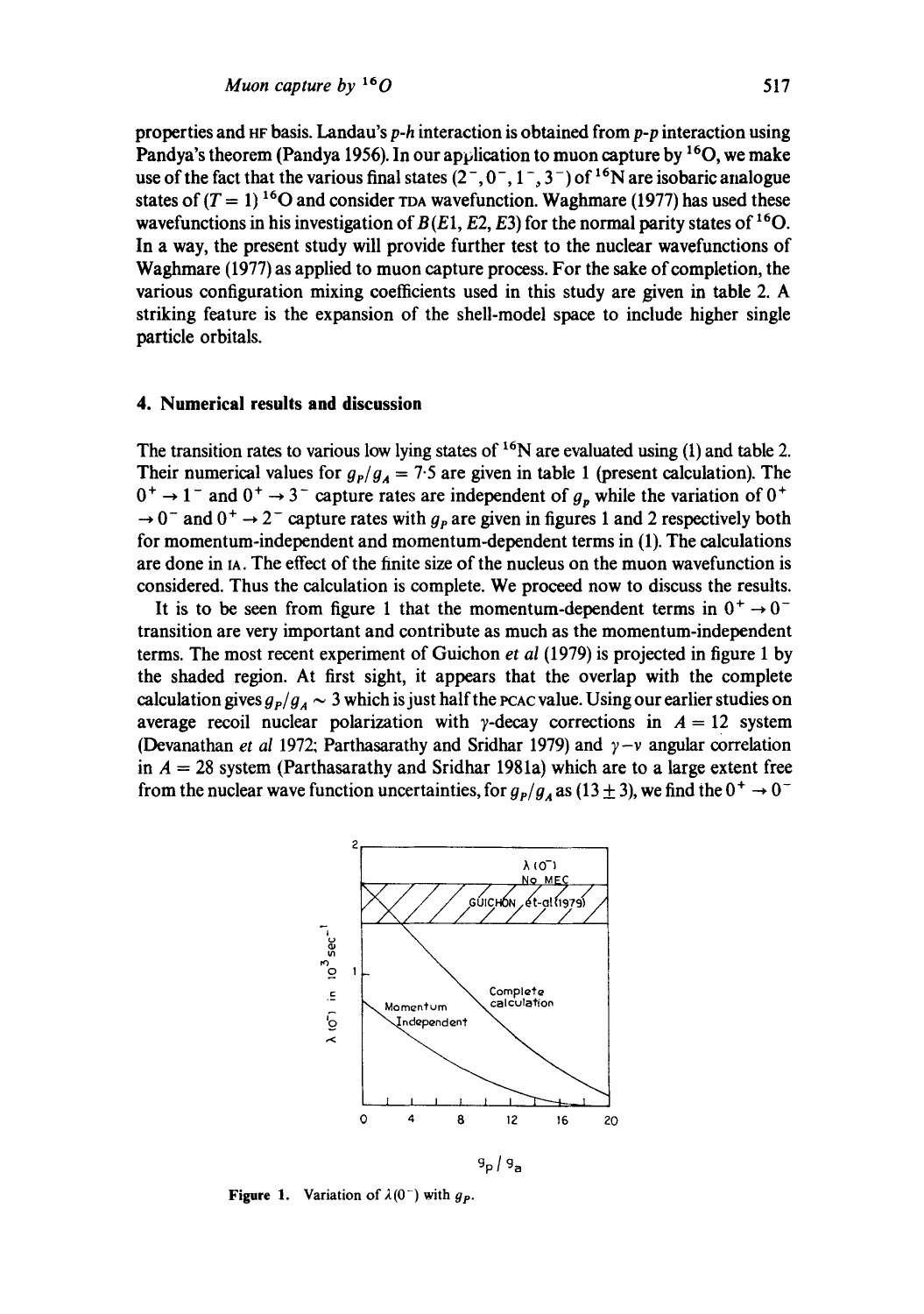properties and 8F basis. Landau's *p-h* interaction is obtained from *p-p* interaction using Pandya's theorem (Pandya 1956). In our application to muon capture by  $16$ O, we make use of the fact that the various final states  $(2^-, 0^-, 1^-, 3^-)$  of <sup>16</sup>N are isobaric analogue states of  $(T = 1)^{16}$ O and consider rDA wavefunction. Waghmare (1977) has used these wavefunctions in his investigation of  $B(E1, E2, E3)$  for the normal parity states of <sup>16</sup>O. In a way, the present study will provide further test to the nuclear wavefunctions of Waghmare (1977) as applied to muon capture process. For the sake of completion, the various configuration mixing coefficients used in this study are given in table 2. A striking feature is the expansion of the shell-model space to include higher single particle orbitals.

## **4. Numerical results and discussion**

The transition rates to various low lying states of  $^{16}N$  are evaluated using (1) and table 2. Their numerical values for  $g_P/g_A = 7.5$  are given in table 1 (present calculation). The  $0^+ \rightarrow 1^-$  and  $0^+ \rightarrow 3^-$  capture rates are independent of  $g_p$  while the variation of  $0^+$  $\rightarrow 0^-$  and  $0^+ \rightarrow 2^-$  capture rates with  $g_p$  are given in figures 1 and 2 respectively both for momentum-independent and momentum-dependent terms in (1). The calculations are done in  $A$ . The effect of the finite size of the nucleus on the muon wavefunction is considered. Thus the calculation is complete. We proceed now to discuss the results.

It is to be seen from figure 1 that the momentum-dependent terms in  $0^+ \rightarrow 0^$ transition are very important and contribute as much as the momentum-independent terms. The most recent experiment of Guichon *et al* (1979) is projected in figure 1 by the shaded region. At first sight, it appears that the overlap with the complete calculation gives  $g_P/g_A \sim 3$  which is just half the PCAC value. Using our earlier studies on average recoil nuclear polarization with  $\gamma$ -decay corrections in  $A = 12$  system (Devanathan *et al* 1972; Parthasarathy and Sridhar 1979) and  $\gamma - \nu$  angular correlation in  $A = 28$  system (Parthasarathy and Sridhar 1981a) which are to a large extent free from the nuclear wave function uncertainties, for  $g_p/g_a$  as (13  $\pm$  3), we find the 0<sup>+</sup>  $\rightarrow$  0<sup>-</sup>



**Figure 1.** Variation of  $\lambda(0^-)$  with  $g_p$ .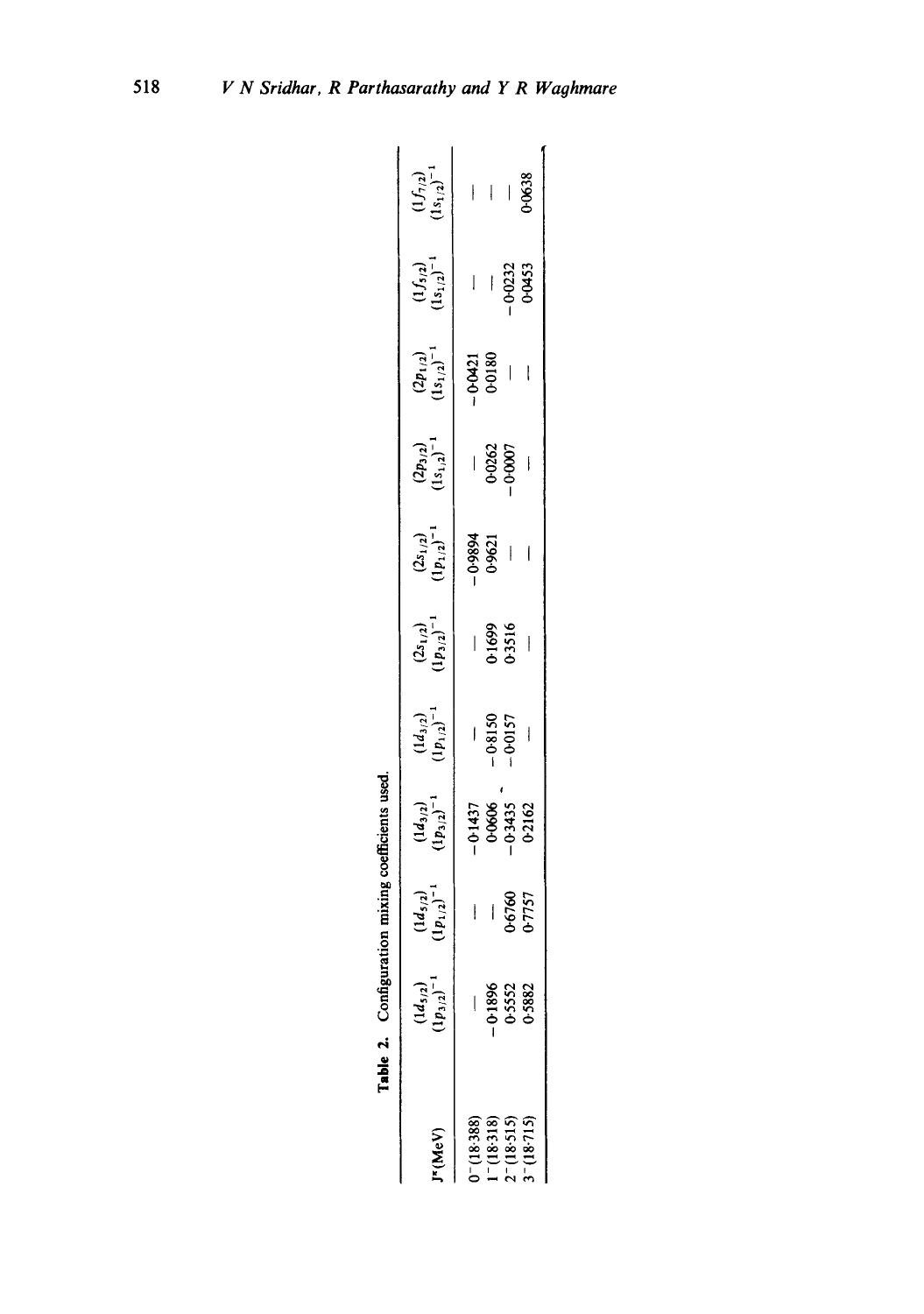|                                                                      | Table 2. Configura                   |                                     | mixing coefficients used             |                                      |                                     |                                     |                                      |                                      |                             |                                      |
|----------------------------------------------------------------------|--------------------------------------|-------------------------------------|--------------------------------------|--------------------------------------|-------------------------------------|-------------------------------------|--------------------------------------|--------------------------------------|-----------------------------|--------------------------------------|
| V∍W).                                                                | $\frac{(1d_{5/2})}{(1p_{3/2})^{-1}}$ | $\frac{(1d_{5/2})}{(p_{1/2})^{-1}}$ | $\frac{(1d_{3/2})}{(1p_{3/2})^{-1}}$ | $\frac{(1d_{3/2})}{(1p_{1/2})^{-1}}$ | $\frac{(2s_{1/2})}{(p_{3/2})^{-1}}$ | $\frac{(2s_{1/2})}{(p_{1/2})^{-1}}$ | $\frac{(2p_{3/2})}{(1s_{1/2})^{-1}}$ | $\frac{(2p_{1/2})}{(1s_{1/2})^{-1}}$ | $(1/5/2)$<br>$(151/2)^{-1}$ | $\frac{(1f_{7/2})}{(1s_{1/2})^{-1}}$ |
| $Y - (18.386)$                                                       |                                      |                                     |                                      |                                      |                                     |                                     |                                      |                                      |                             |                                      |
|                                                                      |                                      |                                     | 01437<br>0.0606<br>0.3435<br>0.2162  | $-0.8150$<br>0.0157                  | $\frac{1}{0}$<br>$\frac{699}{3516}$ |                                     | $-0.0262$<br>$-0.0007$               | $-0.0421$<br>0.0180                  |                             |                                      |
|                                                                      | -0-1896<br>0-5552<br>0-5882          | —<br>06760<br>7757                  |                                      |                                      |                                     |                                     |                                      |                                      |                             |                                      |
| $1 - (18.318)$<br>2 <sup>-</sup> (18.515)<br>3 <sup>-</sup> (18.715) |                                      |                                     |                                      |                                      |                                     |                                     |                                      |                                      |                             | $-2638$                              |
|                                                                      |                                      |                                     |                                      |                                      |                                     |                                     |                                      |                                      |                             |                                      |

| Ì              |
|----------------|
| ı              |
| $\overline{1}$ |
|                |

518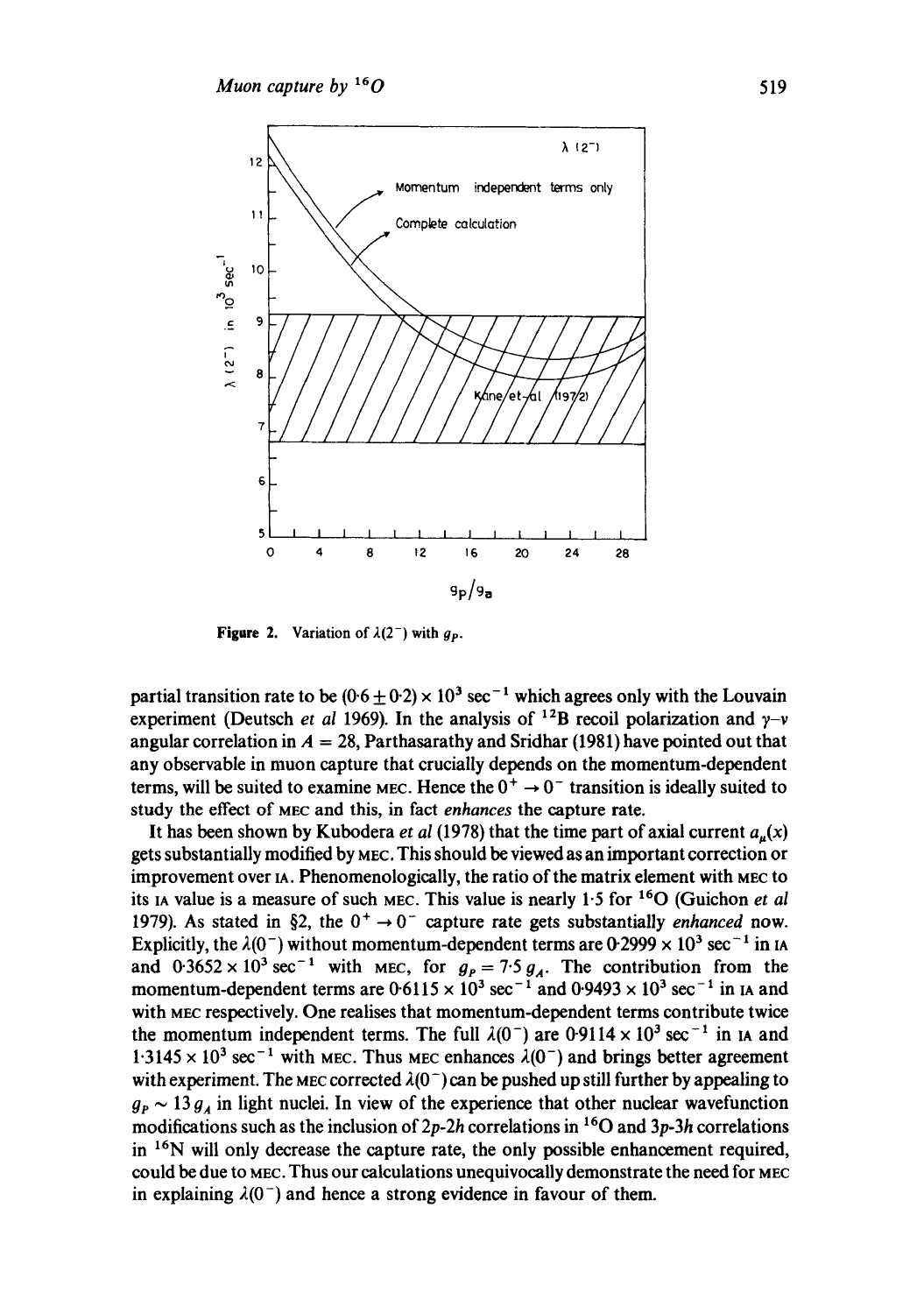

**Figure 2.** Variation of  $\lambda(2^-)$  with  $g_p$ .

partial transition rate to be  $(0.6 \pm 0.2) \times 10^{3}$  sec<sup>-1</sup> which agrees only with the Louvain experiment (Deutsch *et al* 1969). In the analysis of <sup>12</sup>B recoil polarization and  $\gamma$ -v angular correlation in  $A = 28$ , Parthasarathy and Sridhar (1981) have pointed out that any observable in muon capture that crucially depends on the momentum-dependent terms, will be suited to examine MEC. Hence the  $0^+ \rightarrow 0^-$  transition is ideally suited to study the effect of MEC and this, in fact *enhances* the capture rate.

It has been shown by Kubodera *et al* (1978) that the time part of axial current  $a_n(x)$ gets substantially modified by MEC. This should be viewed as an important correction or improvement over IA. Phenomenologically, the ratio of the matrix element with MEC to its IA value is a measure of such MEC. This value is nearly 1"5 for 160 (Guichon *et al*  1979). As stated in §2, the  $0^+ \rightarrow 0^-$  capture rate gets substantially *enhanced* now. Explicitly, the  $\lambda(0^-)$  without momentum-dependent terms are 0.2999  $\times 10^3$  sec<sup>-1</sup> in IA and  $0.3652 \times 10^3$  sec<sup>-1</sup> with MEC, for  $g_p = 7.5 g_A$ . The contribution from the momentum-dependent terms are  $0.6115 \times 10^3$  sec<sup>-1</sup> and  $0.9493 \times 10^3$  sec<sup>-1</sup> in IA and with MEC respectively. One realises that momentum-dependent terms contribute twice the momentum independent terms. The full  $\lambda(0^-)$  are 0.9114 × 10<sup>3</sup> sec<sup>-1</sup> in IA and  $1.3145 \times 10^3$  sec<sup>-1</sup> with MEC. Thus MEC enhances  $\lambda(0^-)$  and brings better agreement with experiment. The MEC corrected  $\lambda(0^-)$  can be pushed up still further by appealing to  $g_{\rm p} \sim 13 g_{\rm A}$  in light nuclei. In view of the experience that other nuclear wavefunction modifications such as the inclusion of *2p-2h* correlations in 160 and *3p-3h* correlations in  $16N$  will only decrease the capture rate, the only possible enhancement required, could be due to MEC. Thus our calculations unequivocally demonstrate the need for MEC in explaining  $\lambda(0^-)$  and hence a strong evidence in favour of them.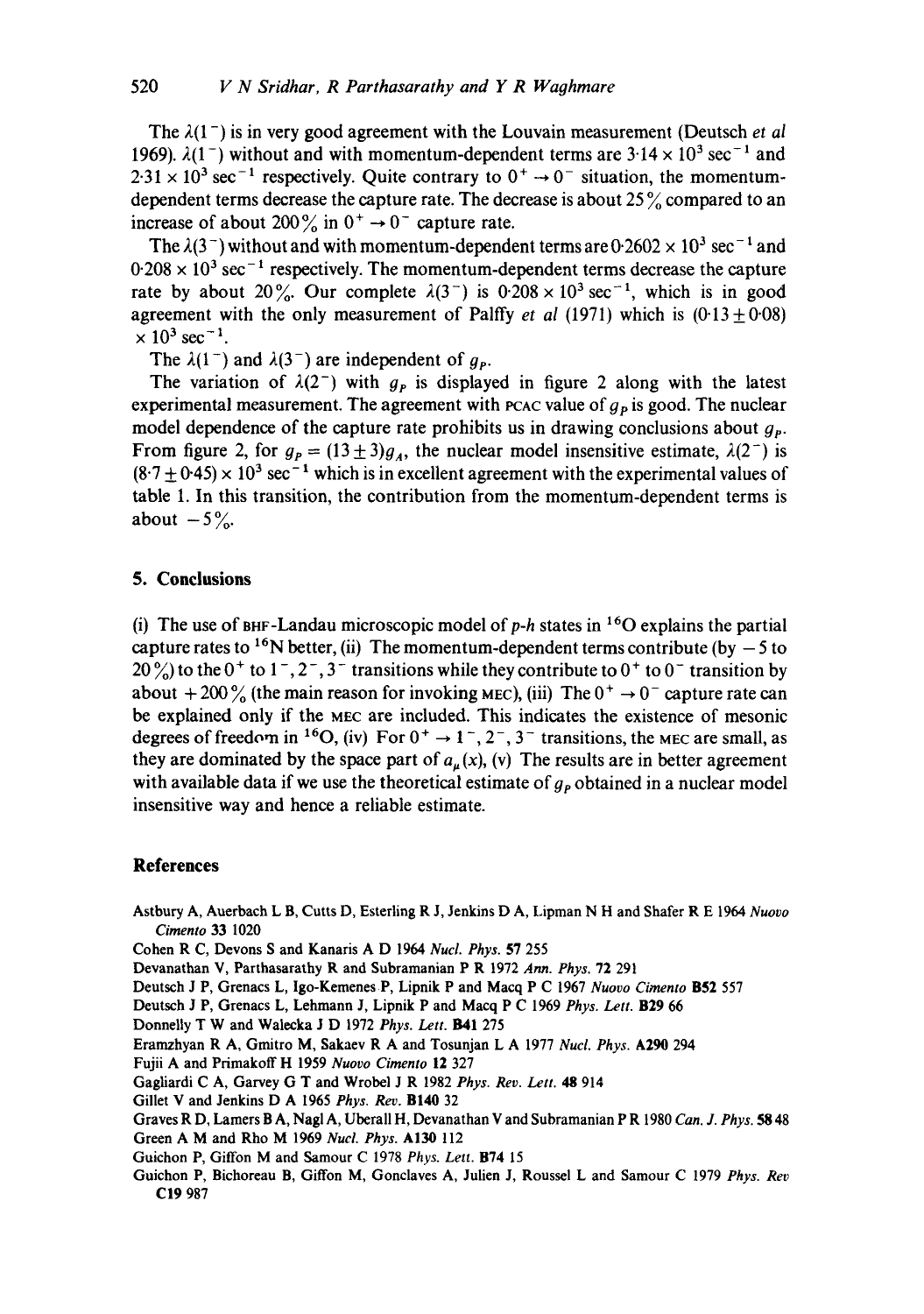The  $\lambda(1^-)$  is in very good agreement with the Louvain measurement (Deutsch *et al* 1969).  $\lambda(1^-)$  without and with momentum-dependent terms are  $3.14 \times 10^3$  sec<sup>-1</sup> and  $2.31 \times 10^3$  sec<sup>-1</sup> respectively. Quite contrary to  $0^+ \rightarrow 0^-$  situation, the momentumdependent terms decrease the capture rate. The decrease is about 25 % compared to an increase of about 200% in  $0^+ \rightarrow 0^-$  capture rate.

The  $\lambda(3^-)$  without and with momentum-dependent terms are  $0.2602 \times 10^3$  sec<sup>-1</sup> and  $0.208 \times 10^{3}$  sec<sup>-1</sup> respectively. The momentum-dependent terms decrease the capture rate by about 20%. Our complete  $\lambda(3^-)$  is 0.208 × 10<sup>3</sup> sec<sup>-1</sup>, which is in good agreement with the only measurement of Palffy *et al* (1971) which is  $(0.13 \pm 0.08)$  $\times 10^{3}$  sec<sup>-1</sup>.

The  $\lambda(1^-)$  and  $\lambda(3^-)$  are independent of  $g_p$ .

The variation of  $\lambda(2^-)$  with  $g_p$  is displayed in figure 2 along with the latest experimental measurement. The agreement with reac value of  $g<sub>p</sub>$  is good. The nuclear model dependence of the capture rate prohibits us in drawing conclusions about  $g_p$ . From figure 2, for  $g_p = (13 \pm 3)g_A$ , the nuclear model insensitive estimate,  $\lambda(2^-)$  is  $(8.7 \pm 0.45) \times 10^{3}$  sec<sup>-1</sup> which is in excellent agreement with the experimental values of table 1. In this transition, the contribution from the momentum-dependent terms is about  $-5\%$ .

## **5. Conclusions**

(i) The use of BHF-Landau microscopic model of  $p-h$  states in <sup>16</sup>O explains the partial capture rates to <sup>16</sup>N better, (ii) The momentum-dependent terms contribute (by  $-5$  to  $20\frac{\cancel{0}}{0}$  to the 0<sup>+</sup> to 1<sup>-</sup>, 2<sup>-</sup>, 3<sup>-</sup> transitions while they contribute to 0<sup>+</sup> to 0<sup>-</sup> transition by about +200% (the main reason for invoking MEC), (iii) The  $0^+ \rightarrow 0^-$  capture rate can be explained only if the MEC are included. This indicates the existence of mesonic degrees of freedom in <sup>16</sup>O, (iv) For  $0^+ \rightarrow 1^-$ ,  $2^-$ ,  $3^-$  transitions, the MEC are small, as they are dominated by the space part of  $a<sub>\mu</sub>(x)$ , (v) The results are in better agreement with available data if we use the theoretical estimate of  $g<sub>p</sub>$  obtained in a nuclear model insensitive way and hence a reliable estimate.

#### **References**

Astbury A, Auerbach L B, Cutts D, Esterling R J, Jenkins D A, Lipman N H and Shafer R E 1964 *Nuovo Cimento* 33 1020

Cohen R C, Devons S and Kanaris A D 1964 *Nucl. Phys.* 57 255

- Devanathan V, Parthasarathy R and Subramanian P R 1972 *Ann. Phys.* 72 291
- Deutsch J P, Grenacs L, Igo-Kemenes P, Lipnik P and Macq P C 1967 *Nuovo Cimento* B52 557
- Deutsch J P, Grenacs L, Lehmann J, Lipnik P and Macq P C 1969 *Phys. Lett.* **B29** 66

Donnelly T W and Walecka J D 1972 Phys. Lett. **B41** 275

Eramzhyan R A, Gmitro M, Sakaev R A and Tosunjan L A 1977 *Nucl. Phys.* A290 294

Fujii A and Primakoff H 1959 *Nuovo Cimento* 12 327

Gagliardi C A, Garvey (3 T and Wrobel J R 1982 *Phys. Rev. Lett. 48* 914

Gillet V and Jenkins D A 1965 *Phys. Rev.* BI40 32

Graves R D, Lamers B A, Nagl A, Ubcrall H, Devanathan V and Subramanian P R 1980 *Can. J. Phys. 58* 48

Green A M and Rho M 1969 *Nucl. Phys.* A130 112

- Guichon P, Giffon M and Samour C 1978 *Phys. Lett.* B74 15
- Guichon P, Bichoreau B, Giffon M, Gonclaves A, Julien J, Roussel L and Samour C 1979 *Phys. Rev*  **C19** 987